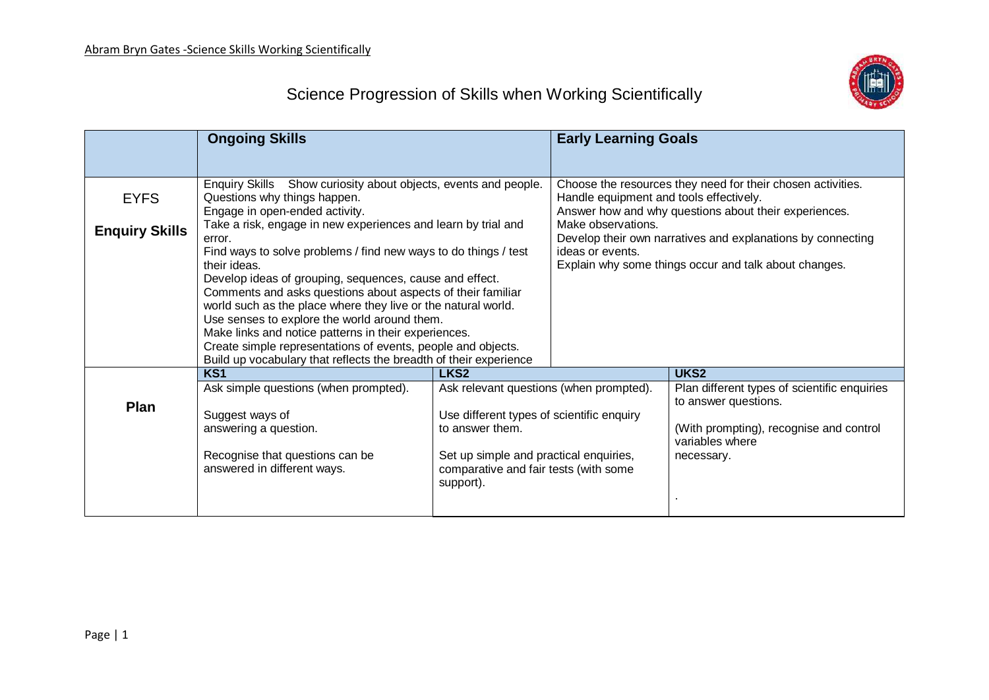

## Science Progression of Skills when Working Scientifically

|                                      | <b>Ongoing Skills</b>                                                                                                                                                                                                                                                                                                                                                                                                                                                                                                                                                                                                                                                                                                                   |                                                                                                                                                                                                         | <b>Early Learning Goals</b>                                                                                                                                                                                                                                                                                                       |                                                                                                                                                  |
|--------------------------------------|-----------------------------------------------------------------------------------------------------------------------------------------------------------------------------------------------------------------------------------------------------------------------------------------------------------------------------------------------------------------------------------------------------------------------------------------------------------------------------------------------------------------------------------------------------------------------------------------------------------------------------------------------------------------------------------------------------------------------------------------|---------------------------------------------------------------------------------------------------------------------------------------------------------------------------------------------------------|-----------------------------------------------------------------------------------------------------------------------------------------------------------------------------------------------------------------------------------------------------------------------------------------------------------------------------------|--------------------------------------------------------------------------------------------------------------------------------------------------|
| <b>EYFS</b><br><b>Enquiry Skills</b> | Enquiry Skills Show curiosity about objects, events and people.<br>Questions why things happen.<br>Engage in open-ended activity.<br>Take a risk, engage in new experiences and learn by trial and<br>error.<br>Find ways to solve problems / find new ways to do things / test<br>their ideas.<br>Develop ideas of grouping, sequences, cause and effect.<br>Comments and asks questions about aspects of their familiar<br>world such as the place where they live or the natural world.<br>Use senses to explore the world around them.<br>Make links and notice patterns in their experiences.<br>Create simple representations of events, people and objects.<br>Build up vocabulary that reflects the breadth of their experience |                                                                                                                                                                                                         | Choose the resources they need for their chosen activities.<br>Handle equipment and tools effectively.<br>Answer how and why questions about their experiences.<br>Make observations.<br>Develop their own narratives and explanations by connecting<br>ideas or events.<br>Explain why some things occur and talk about changes. |                                                                                                                                                  |
|                                      |                                                                                                                                                                                                                                                                                                                                                                                                                                                                                                                                                                                                                                                                                                                                         |                                                                                                                                                                                                         |                                                                                                                                                                                                                                                                                                                                   |                                                                                                                                                  |
|                                      | KS <sub>1</sub>                                                                                                                                                                                                                                                                                                                                                                                                                                                                                                                                                                                                                                                                                                                         | LKS <sub>2</sub>                                                                                                                                                                                        |                                                                                                                                                                                                                                                                                                                                   | UKS <sub>2</sub>                                                                                                                                 |
| Plan                                 | Ask simple questions (when prompted).<br>Suggest ways of<br>answering a question.<br>Recognise that questions can be<br>answered in different ways.                                                                                                                                                                                                                                                                                                                                                                                                                                                                                                                                                                                     | Ask relevant questions (when prompted).<br>Use different types of scientific enquiry<br>to answer them.<br>Set up simple and practical enquiries,<br>comparative and fair tests (with some<br>support). |                                                                                                                                                                                                                                                                                                                                   | Plan different types of scientific enquiries<br>to answer questions.<br>(With prompting), recognise and control<br>variables where<br>necessary. |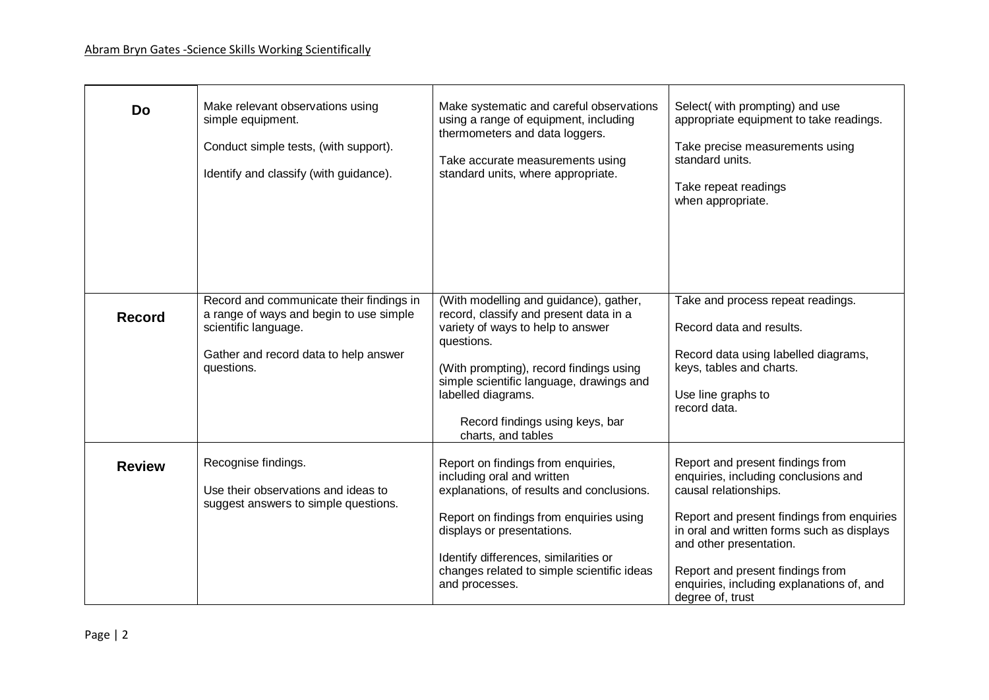| <b>Do</b>     | Make relevant observations using<br>simple equipment.<br>Conduct simple tests, (with support).<br>Identify and classify (with guidance).                           | Make systematic and careful observations<br>using a range of equipment, including<br>thermometers and data loggers.<br>Take accurate measurements using<br>standard units, where appropriate.                                                                                                             | Select(with prompting) and use<br>appropriate equipment to take readings.<br>Take precise measurements using<br>standard units.<br>Take repeat readings<br>when appropriate.                                                                                                                                                  |
|---------------|--------------------------------------------------------------------------------------------------------------------------------------------------------------------|-----------------------------------------------------------------------------------------------------------------------------------------------------------------------------------------------------------------------------------------------------------------------------------------------------------|-------------------------------------------------------------------------------------------------------------------------------------------------------------------------------------------------------------------------------------------------------------------------------------------------------------------------------|
| <b>Record</b> | Record and communicate their findings in<br>a range of ways and begin to use simple<br>scientific language.<br>Gather and record data to help answer<br>questions. | (With modelling and guidance), gather,<br>record, classify and present data in a<br>variety of ways to help to answer<br>questions.<br>(With prompting), record findings using<br>simple scientific language, drawings and<br>labelled diagrams.<br>Record findings using keys, bar<br>charts, and tables | Take and process repeat readings.<br>Record data and results.<br>Record data using labelled diagrams,<br>keys, tables and charts.<br>Use line graphs to<br>record data.                                                                                                                                                       |
| <b>Review</b> | Recognise findings.<br>Use their observations and ideas to<br>suggest answers to simple questions.                                                                 | Report on findings from enquiries,<br>including oral and written<br>explanations, of results and conclusions.<br>Report on findings from enquiries using<br>displays or presentations.<br>Identify differences, similarities or<br>changes related to simple scientific ideas<br>and processes.           | Report and present findings from<br>enquiries, including conclusions and<br>causal relationships.<br>Report and present findings from enquiries<br>in oral and written forms such as displays<br>and other presentation.<br>Report and present findings from<br>enquiries, including explanations of, and<br>degree of, trust |